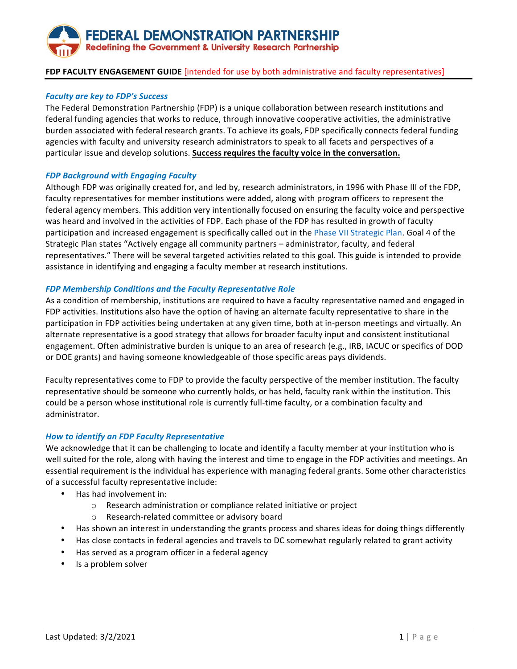# FEDERAL DEMONSTRATION PARTNERSHIP **Redefining the Government & University Research Partnership**

# **FDP FACULTY ENGAGEMENT GUIDE** [intended for use by both administrative and faculty representatives]

### *Faculty are key to FDP's Success*

The Federal Demonstration Partnership (FDP) is a unique collaboration between research institutions and federal funding agencies that works to reduce, through innovative cooperative activities, the administrative burden associated with federal research grants. To achieve its goals, FDP specifically connects federal funding agencies with faculty and university research administrators to speak to all facets and perspectives of a particular issue and develop solutions. Success requires the faculty voice in the conversation.

#### *FDP Background with Engaging Faculty*

Although FDP was originally created for, and led by, research administrators, in 1996 with Phase III of the FDP, faculty representatives for member institutions were added, along with program officers to represent the federal agency members. This addition very intentionally focused on ensuring the faculty voice and perspective was heard and involved in the activities of FDP. Each phase of the FDP has resulted in growth of faculty participation and increased engagement is specifically called out in the Phase VII Strategic Plan. Goal 4 of the Strategic Plan states "Actively engage all community partners - administrator, faculty, and federal representatives." There will be several targeted activities related to this goal. This guide is intended to provide assistance in identifying and engaging a faculty member at research institutions.

#### **FDP Membership Conditions and the Faculty Representative Role**

As a condition of membership, institutions are required to have a faculty representative named and engaged in FDP activities. Institutions also have the option of having an alternate faculty representative to share in the participation in FDP activities being undertaken at any given time, both at in-person meetings and virtually. An alternate representative is a good strategy that allows for broader faculty input and consistent institutional engagement. Often administrative burden is unique to an area of research (e.g., IRB, IACUC or specifics of DOD or DOE grants) and having someone knowledgeable of those specific areas pays dividends.

Faculty representatives come to FDP to provide the faculty perspective of the member institution. The faculty representative should be someone who currently holds, or has held, faculty rank within the institution. This could be a person whose institutional role is currently full-time faculty, or a combination faculty and administrator.

# *How to identify an FDP Faculty Representative*

We acknowledge that it can be challenging to locate and identify a faculty member at your institution who is well suited for the role, along with having the interest and time to engage in the FDP activities and meetings. An essential requirement is the individual has experience with managing federal grants. Some other characteristics of a successful faculty representative include:

- Has had involvement in:
	- o Research administration or compliance related initiative or project
	- Research-related committee or advisory board
- Has shown an interest in understanding the grants process and shares ideas for doing things differently
- Has close contacts in federal agencies and travels to DC somewhat regularly related to grant activity
- Has served as a program officer in a federal agency
- Is a problem solver